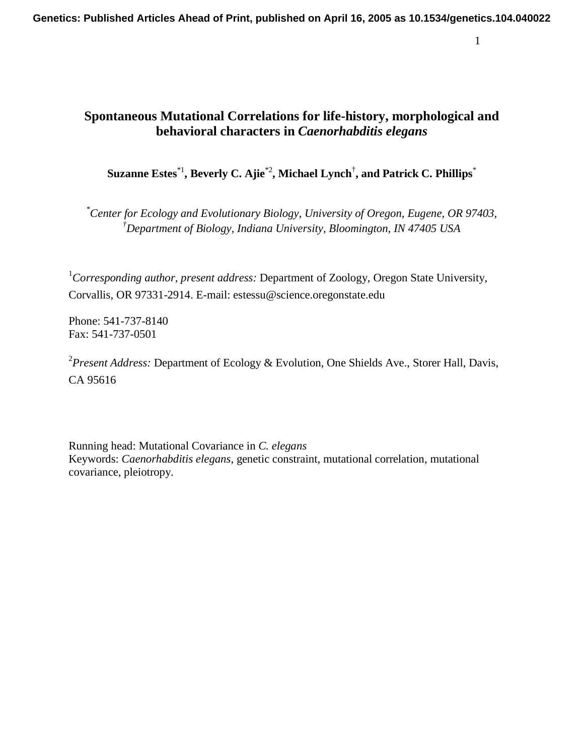**Genetics: Published Articles Ahead of Print, published on April 16, 2005 as 10.1534/genetics.104.040022**

# **Spontaneous Mutational Correlations for life-history, morphological and behavioral characters in** *Caenorhabditis elegans*

**Suzanne Estes**\*1**, Beverly C. Ajie**\*2**, Michael Lynch**† **, and Patrick C. Phillips**\*

*\* Center for Ecology and Evolutionary Biology, University of Oregon, Eugene, OR 97403, † Department of Biology, Indiana University, Bloomington, IN 47405 USA* 

1 *Corresponding author, present address:* Department of Zoology, Oregon State University, Corvallis, OR 97331-2914. E-mail: estessu@science.oregonstate.edu

Phone: 541-737-8140 Fax: 541-737-0501

2 *Present Address:* Department of Ecology & Evolution, One Shields Ave., Storer Hall, Davis, CA 95616

Running head: Mutational Covariance in *C. elegans* Keywords: *Caenorhabditis elegans*, genetic constraint, mutational correlation, mutational covariance, pleiotropy.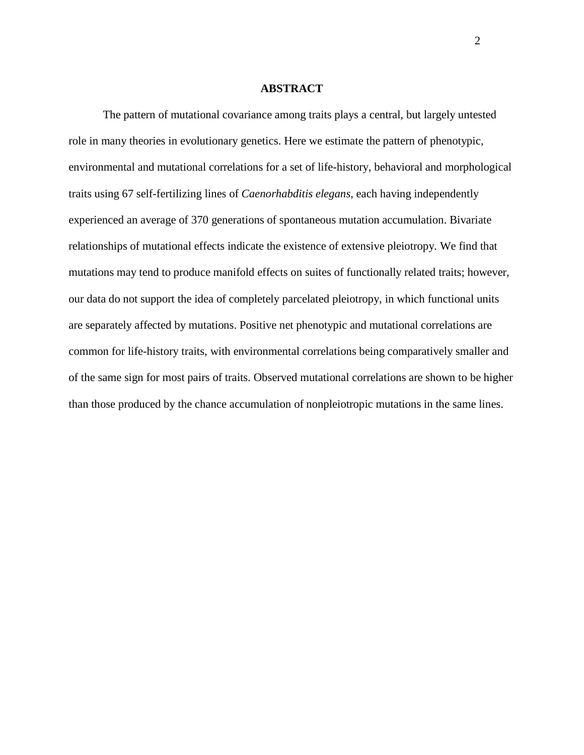#### **ABSTRACT**

The pattern of mutational covariance among traits plays a central, but largely untested role in many theories in evolutionary genetics. Here we estimate the pattern of phenotypic, environmental and mutational correlations for a set of life-history, behavioral and morphological traits using 67 self-fertilizing lines of *Caenorhabditis elegans*, each having independently experienced an average of 370 generations of spontaneous mutation accumulation. Bivariate relationships of mutational effects indicate the existence of extensive pleiotropy. We find that mutations may tend to produce manifold effects on suites of functionally related traits; however, our data do not support the idea of completely parcelated pleiotropy, in which functional units are separately affected by mutations. Positive net phenotypic and mutational correlations are common for life-history traits, with environmental correlations being comparatively smaller and of the same sign for most pairs of traits. Observed mutational correlations are shown to be higher than those produced by the chance accumulation of nonpleiotropic mutations in the same lines.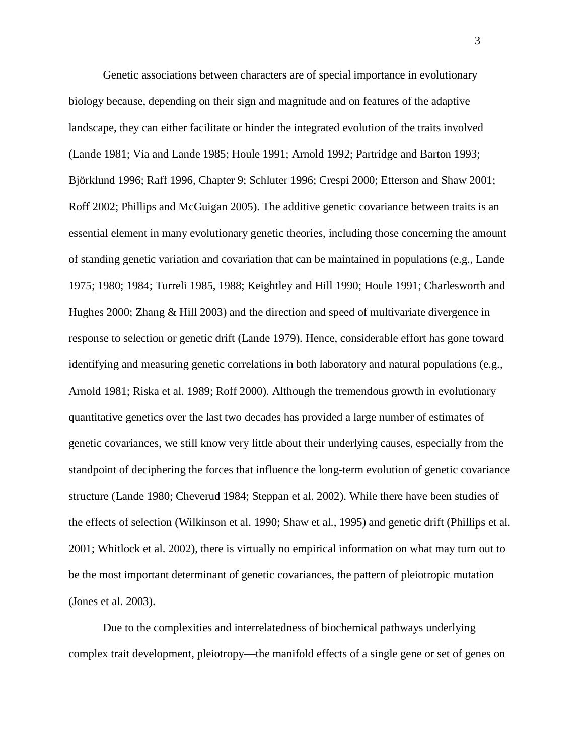Genetic associations between characters are of special importance in evolutionary biology because, depending on their sign and magnitude and on features of the adaptive landscape, they can either facilitate or hinder the integrated evolution of the traits involved (Lande 1981; Via and Lande 1985; Houle 1991; Arnold 1992; Partridge and Barton 1993; Björklund 1996; Raff 1996, Chapter 9; Schluter 1996; Crespi 2000; Etterson and Shaw 2001; Roff 2002; Phillips and McGuigan 2005). The additive genetic covariance between traits is an essential element in many evolutionary genetic theories, including those concerning the amount of standing genetic variation and covariation that can be maintained in populations (e.g., Lande 1975; 1980; 1984; Turreli 1985, 1988; Keightley and Hill 1990; Houle 1991; Charlesworth and Hughes 2000; Zhang & Hill 2003) and the direction and speed of multivariate divergence in response to selection or genetic drift (Lande 1979). Hence, considerable effort has gone toward identifying and measuring genetic correlations in both laboratory and natural populations (e.g., Arnold 1981; Riska et al. 1989; Roff 2000). Although the tremendous growth in evolutionary quantitative genetics over the last two decades has provided a large number of estimates of genetic covariances, we still know very little about their underlying causes, especially from the standpoint of deciphering the forces that influence the long-term evolution of genetic covariance structure (Lande 1980; Cheverud 1984; Steppan et al. 2002). While there have been studies of the effects of selection (Wilkinson et al. 1990; Shaw et al., 1995) and genetic drift (Phillips et al. 2001; Whitlock et al. 2002), there is virtually no empirical information on what may turn out to be the most important determinant of genetic covariances, the pattern of pleiotropic mutation (Jones et al. 2003).

Due to the complexities and interrelatedness of biochemical pathways underlying complex trait development, pleiotropy—the manifold effects of a single gene or set of genes on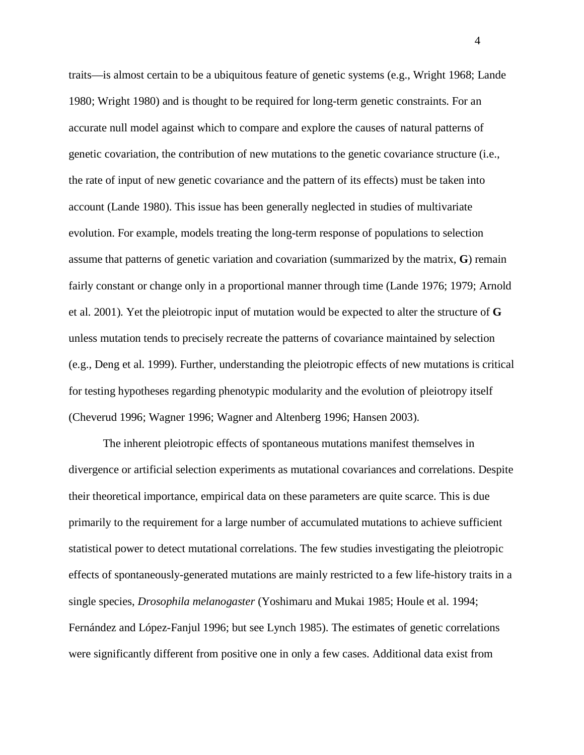traits—is almost certain to be a ubiquitous feature of genetic systems (e.g., Wright 1968; Lande 1980; Wright 1980) and is thought to be required for long-term genetic constraints. For an accurate null model against which to compare and explore the causes of natural patterns of genetic covariation, the contribution of new mutations to the genetic covariance structure (i.e., the rate of input of new genetic covariance and the pattern of its effects) must be taken into account (Lande 1980). This issue has been generally neglected in studies of multivariate evolution. For example, models treating the long-term response of populations to selection assume that patterns of genetic variation and covariation (summarized by the matrix, **G**) remain fairly constant or change only in a proportional manner through time (Lande 1976; 1979; Arnold et al. 2001). Yet the pleiotropic input of mutation would be expected to alter the structure of **G** unless mutation tends to precisely recreate the patterns of covariance maintained by selection (e.g., Deng et al. 1999). Further, understanding the pleiotropic effects of new mutations is critical for testing hypotheses regarding phenotypic modularity and the evolution of pleiotropy itself (Cheverud 1996; Wagner 1996; Wagner and Altenberg 1996; Hansen 2003).

The inherent pleiotropic effects of spontaneous mutations manifest themselves in divergence or artificial selection experiments as mutational covariances and correlations. Despite their theoretical importance, empirical data on these parameters are quite scarce. This is due primarily to the requirement for a large number of accumulated mutations to achieve sufficient statistical power to detect mutational correlations. The few studies investigating the pleiotropic effects of spontaneously-generated mutations are mainly restricted to a few life-history traits in a single species, *Drosophila melanogaster* (Yoshimaru and Mukai 1985; Houle et al. 1994; Fernández and López-Fanjul 1996; but see Lynch 1985). The estimates of genetic correlations were significantly different from positive one in only a few cases. Additional data exist from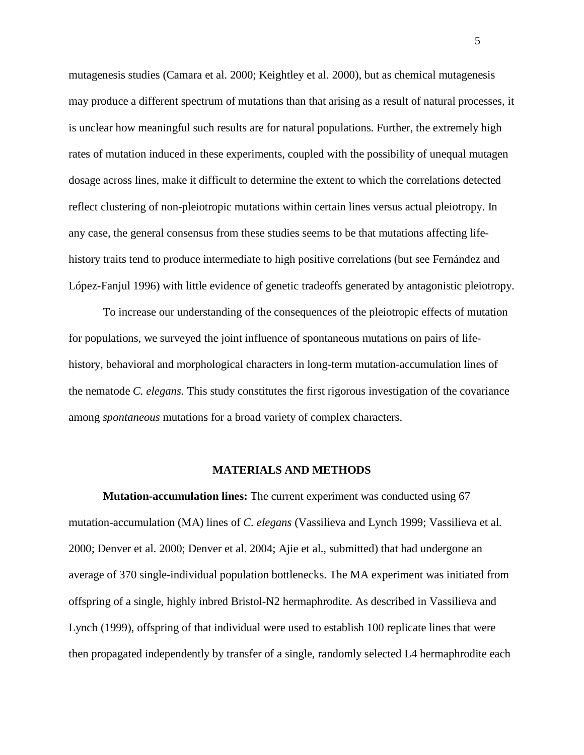mutagenesis studies (Camara et al. 2000; Keightley et al. 2000), but as chemical mutagenesis may produce a different spectrum of mutations than that arising as a result of natural processes, it is unclear how meaningful such results are for natural populations. Further, the extremely high rates of mutation induced in these experiments, coupled with the possibility of unequal mutagen dosage across lines, make it difficult to determine the extent to which the correlations detected reflect clustering of non-pleiotropic mutations within certain lines versus actual pleiotropy. In any case, the general consensus from these studies seems to be that mutations affecting lifehistory traits tend to produce intermediate to high positive correlations (but see Fernández and López-Fanjul 1996) with little evidence of genetic tradeoffs generated by antagonistic pleiotropy.

To increase our understanding of the consequences of the pleiotropic effects of mutation for populations, we surveyed the joint influence of spontaneous mutations on pairs of lifehistory, behavioral and morphological characters in long-term mutation-accumulation lines of the nematode *C. elegans*. This study constitutes the first rigorous investigation of the covariance among *spontaneous* mutations for a broad variety of complex characters.

#### **MATERIALS AND METHODS**

**Mutation-accumulation lines:** The current experiment was conducted using 67 mutation-accumulation (MA) lines of *C. elegans* (Vassilieva and Lynch 1999; Vassilieva et al. 2000; Denver et al. 2000; Denver et al. 2004; Ajie et al., submitted) that had undergone an average of 370 single-individual population bottlenecks. The MA experiment was initiated from offspring of a single, highly inbred Bristol-N2 hermaphrodite. As described in Vassilieva and Lynch (1999), offspring of that individual were used to establish 100 replicate lines that were then propagated independently by transfer of a single, randomly selected L4 hermaphrodite each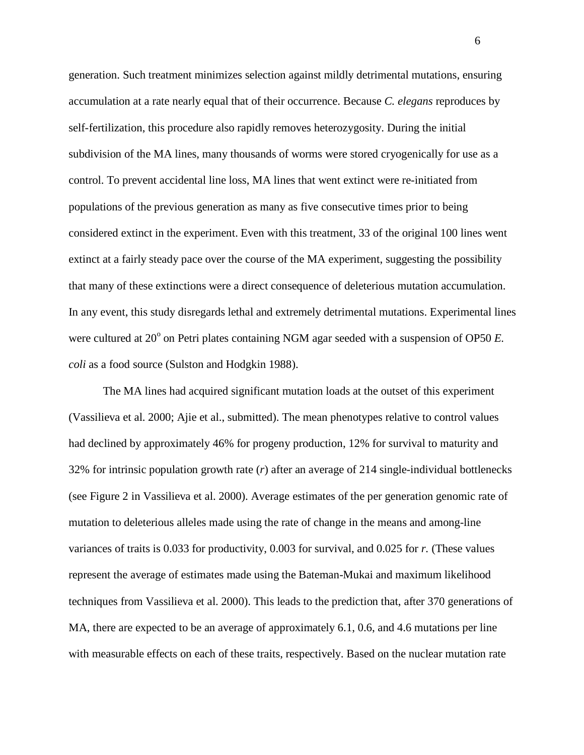generation. Such treatment minimizes selection against mildly detrimental mutations, ensuring accumulation at a rate nearly equal that of their occurrence. Because *C. elegans* reproduces by self-fertilization, this procedure also rapidly removes heterozygosity. During the initial subdivision of the MA lines, many thousands of worms were stored cryogenically for use as a control. To prevent accidental line loss, MA lines that went extinct were re-initiated from populations of the previous generation as many as five consecutive times prior to being considered extinct in the experiment. Even with this treatment, 33 of the original 100 lines went extinct at a fairly steady pace over the course of the MA experiment, suggesting the possibility that many of these extinctions were a direct consequence of deleterious mutation accumulation. In any event, this study disregards lethal and extremely detrimental mutations. Experimental lines were cultured at 20<sup>°</sup> on Petri plates containing NGM agar seeded with a suspension of OP50 *E*. *coli* as a food source (Sulston and Hodgkin 1988).

The MA lines had acquired significant mutation loads at the outset of this experiment (Vassilieva et al. 2000; Ajie et al., submitted). The mean phenotypes relative to control values had declined by approximately 46% for progeny production, 12% for survival to maturity and 32% for intrinsic population growth rate (*r*) after an average of 214 single-individual bottlenecks (see Figure 2 in Vassilieva et al. 2000). Average estimates of the per generation genomic rate of mutation to deleterious alleles made using the rate of change in the means and among-line variances of traits is 0.033 for productivity, 0.003 for survival, and 0.025 for *r.* (These values represent the average of estimates made using the Bateman-Mukai and maximum likelihood techniques from Vassilieva et al. 2000). This leads to the prediction that, after 370 generations of MA, there are expected to be an average of approximately 6.1, 0.6, and 4.6 mutations per line with measurable effects on each of these traits, respectively. Based on the nuclear mutation rate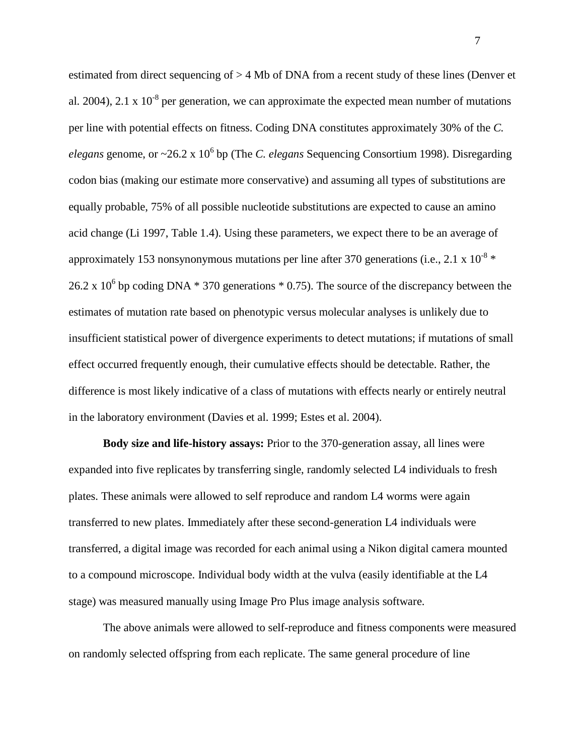estimated from direct sequencing of > 4 Mb of DNA from a recent study of these lines (Denver et al. 2004), 2.1 x  $10^{-8}$  per generation, we can approximate the expected mean number of mutations per line with potential effects on fitness. Coding DNA constitutes approximately 30% of the *C.*  elegans genome, or ~26.2 x 10<sup>6</sup> bp (The *C. elegans* Sequencing Consortium 1998). Disregarding codon bias (making our estimate more conservative) and assuming all types of substitutions are equally probable, 75% of all possible nucleotide substitutions are expected to cause an amino acid change (Li 1997, Table 1.4). Using these parameters, we expect there to be an average of approximately 153 nonsynonymous mutations per line after 370 generations (i.e., 2.1 x  $10^{-8}$  \* 26.2 x 10<sup>6</sup> bp coding DNA  $*$  370 generations  $*$  0.75). The source of the discrepancy between the estimates of mutation rate based on phenotypic versus molecular analyses is unlikely due to insufficient statistical power of divergence experiments to detect mutations; if mutations of small effect occurred frequently enough, their cumulative effects should be detectable. Rather, the difference is most likely indicative of a class of mutations with effects nearly or entirely neutral in the laboratory environment (Davies et al. 1999; Estes et al. 2004).

**Body size and life-history assays:** Prior to the 370-generation assay, all lines were expanded into five replicates by transferring single, randomly selected L4 individuals to fresh plates. These animals were allowed to self reproduce and random L4 worms were again transferred to new plates. Immediately after these second-generation L4 individuals were transferred, a digital image was recorded for each animal using a Nikon digital camera mounted to a compound microscope. Individual body width at the vulva (easily identifiable at the L4 stage) was measured manually using Image Pro Plus image analysis software.

The above animals were allowed to self-reproduce and fitness components were measured on randomly selected offspring from each replicate. The same general procedure of line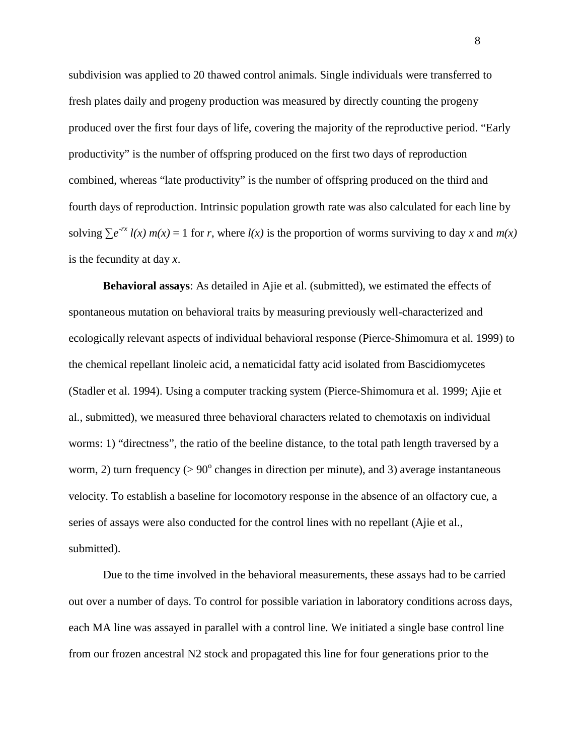subdivision was applied to 20 thawed control animals. Single individuals were transferred to fresh plates daily and progeny production was measured by directly counting the progeny produced over the first four days of life, covering the majority of the reproductive period. "Early productivity" is the number of offspring produced on the first two days of reproduction combined, whereas "late productivity" is the number of offspring produced on the third and fourth days of reproduction. Intrinsic population growth rate was also calculated for each line by solving  $\sum e^{-rx} l(x) m(x) = 1$  for *r*, where  $l(x)$  is the proportion of worms surviving to day *x* and  $m(x)$ is the fecundity at day *x*.

**Behavioral assays**: As detailed in Ajie et al. (submitted), we estimated the effects of spontaneous mutation on behavioral traits by measuring previously well-characterized and ecologically relevant aspects of individual behavioral response (Pierce-Shimomura et al. 1999) to the chemical repellant linoleic acid, a nematicidal fatty acid isolated from Bascidiomycetes (Stadler et al. 1994). Using a computer tracking system (Pierce-Shimomura et al. 1999; Ajie et al., submitted), we measured three behavioral characters related to chemotaxis on individual worms: 1) "directness", the ratio of the beeline distance, to the total path length traversed by a worm, 2) turn frequency  $(> 90^{\circ}$  changes in direction per minute), and 3) average instantaneous velocity. To establish a baseline for locomotory response in the absence of an olfactory cue, a series of assays were also conducted for the control lines with no repellant (Ajie et al., submitted).

Due to the time involved in the behavioral measurements, these assays had to be carried out over a number of days. To control for possible variation in laboratory conditions across days, each MA line was assayed in parallel with a control line. We initiated a single base control line from our frozen ancestral N2 stock and propagated this line for four generations prior to the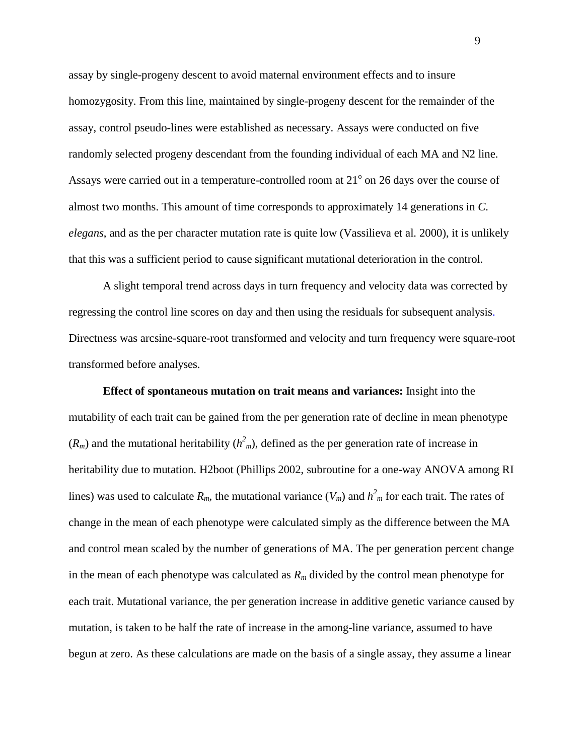assay by single-progeny descent to avoid maternal environment effects and to insure homozygosity. From this line, maintained by single-progeny descent for the remainder of the assay, control pseudo-lines were established as necessary. Assays were conducted on five randomly selected progeny descendant from the founding individual of each MA and N2 line. Assays were carried out in a temperature-controlled room at  $21^{\circ}$  on 26 days over the course of almost two months. This amount of time corresponds to approximately 14 generations in *C. elegans*, and as the per character mutation rate is quite low (Vassilieva et al. 2000), it is unlikely that this was a sufficient period to cause significant mutational deterioration in the control.

A slight temporal trend across days in turn frequency and velocity data was corrected by regressing the control line scores on day and then using the residuals for subsequent analysis. Directness was arcsine-square-root transformed and velocity and turn frequency were square-root transformed before analyses.

**Effect of spontaneous mutation on trait means and variances:** Insight into the mutability of each trait can be gained from the per generation rate of decline in mean phenotype  $(R_m)$  and the mutational heritability  $(h<sup>2</sup>)_m$ , defined as the per generation rate of increase in heritability due to mutation. H2boot (Phillips 2002, subroutine for a one-way ANOVA among RI lines) was used to calculate  $R_m$ , the mutational variance  $(V_m)$  and  $h^2_m$  for each trait. The rates of change in the mean of each phenotype were calculated simply as the difference between the MA and control mean scaled by the number of generations of MA. The per generation percent change in the mean of each phenotype was calculated as  $R<sub>m</sub>$  divided by the control mean phenotype for each trait. Mutational variance, the per generation increase in additive genetic variance caused by mutation, is taken to be half the rate of increase in the among-line variance, assumed to have begun at zero. As these calculations are made on the basis of a single assay, they assume a linear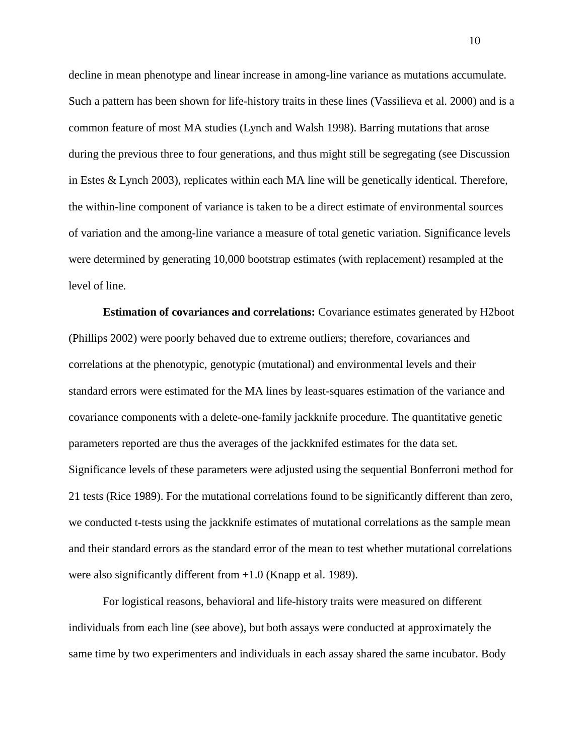decline in mean phenotype and linear increase in among-line variance as mutations accumulate. Such a pattern has been shown for life-history traits in these lines (Vassilieva et al. 2000) and is a common feature of most MA studies (Lynch and Walsh 1998). Barring mutations that arose during the previous three to four generations, and thus might still be segregating (see Discussion in Estes & Lynch 2003), replicates within each MA line will be genetically identical. Therefore, the within-line component of variance is taken to be a direct estimate of environmental sources of variation and the among-line variance a measure of total genetic variation. Significance levels were determined by generating 10,000 bootstrap estimates (with replacement) resampled at the level of line.

 **Estimation of covariances and correlations:** Covariance estimates generated by H2boot (Phillips 2002) were poorly behaved due to extreme outliers; therefore, covariances and correlations at the phenotypic, genotypic (mutational) and environmental levels and their standard errors were estimated for the MA lines by least-squares estimation of the variance and covariance components with a delete-one-family jackknife procedure. The quantitative genetic parameters reported are thus the averages of the jackknifed estimates for the data set. Significance levels of these parameters were adjusted using the sequential Bonferroni method for 21 tests (Rice 1989). For the mutational correlations found to be significantly different than zero, we conducted t-tests using the jackknife estimates of mutational correlations as the sample mean and their standard errors as the standard error of the mean to test whether mutational correlations were also significantly different from  $+1.0$  (Knapp et al. 1989).

For logistical reasons, behavioral and life-history traits were measured on different individuals from each line (see above), but both assays were conducted at approximately the same time by two experimenters and individuals in each assay shared the same incubator. Body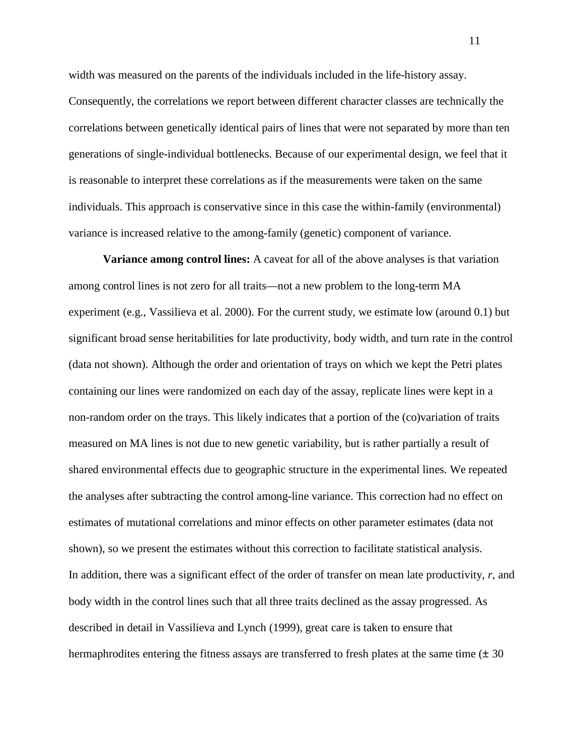width was measured on the parents of the individuals included in the life-history assay. Consequently, the correlations we report between different character classes are technically the correlations between genetically identical pairs of lines that were not separated by more than ten generations of single-individual bottlenecks. Because of our experimental design, we feel that it is reasonable to interpret these correlations as if the measurements were taken on the same individuals. This approach is conservative since in this case the within-family (environmental) variance is increased relative to the among-family (genetic) component of variance.

 **Variance among control lines:** A caveat for all of the above analyses is that variation among control lines is not zero for all traits—not a new problem to the long-term MA experiment (e.g., Vassilieva et al. 2000). For the current study, we estimate low (around 0.1) but significant broad sense heritabilities for late productivity, body width, and turn rate in the control (data not shown). Although the order and orientation of trays on which we kept the Petri plates containing our lines were randomized on each day of the assay, replicate lines were kept in a non-random order on the trays. This likely indicates that a portion of the (co)variation of traits measured on MA lines is not due to new genetic variability, but is rather partially a result of shared environmental effects due to geographic structure in the experimental lines. We repeated the analyses after subtracting the control among-line variance. This correction had no effect on estimates of mutational correlations and minor effects on other parameter estimates (data not shown), so we present the estimates without this correction to facilitate statistical analysis. In addition, there was a significant effect of the order of transfer on mean late productivity, *r*, and body width in the control lines such that all three traits declined as the assay progressed. As described in detail in Vassilieva and Lynch (1999), great care is taken to ensure that hermaphrodites entering the fitness assays are transferred to fresh plates at the same time  $(\pm 30)$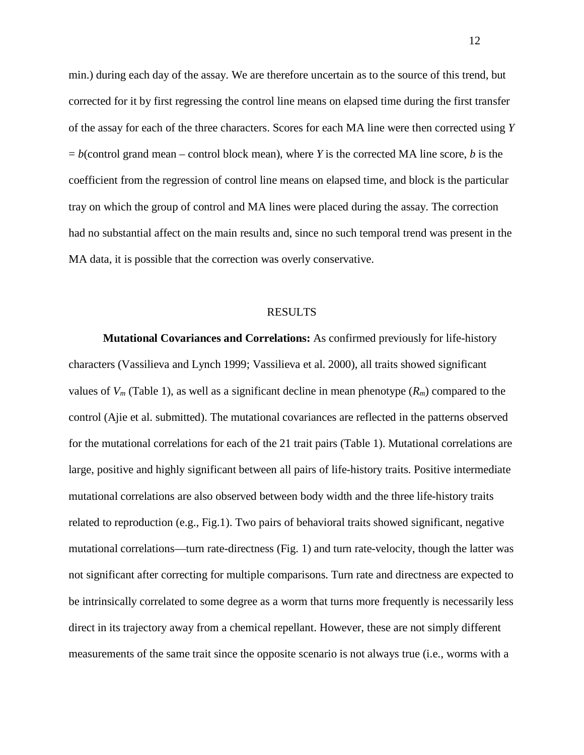min.) during each day of the assay. We are therefore uncertain as to the source of this trend, but corrected for it by first regressing the control line means on elapsed time during the first transfer of the assay for each of the three characters. Scores for each MA line were then corrected using *Y*  $b = b$ (control grand mean – control block mean), where *Y* is the corrected MA line score, *b* is the coefficient from the regression of control line means on elapsed time, and block is the particular tray on which the group of control and MA lines were placed during the assay. The correction had no substantial affect on the main results and, since no such temporal trend was present in the MA data, it is possible that the correction was overly conservative.

#### RESULTS

**Mutational Covariances and Correlations:** As confirmed previously for life-history characters (Vassilieva and Lynch 1999; Vassilieva et al. 2000), all traits showed significant values of  $V_m$  (Table 1), as well as a significant decline in mean phenotype  $(R_m)$  compared to the control (Ajie et al. submitted). The mutational covariances are reflected in the patterns observed for the mutational correlations for each of the 21 trait pairs (Table 1). Mutational correlations are large, positive and highly significant between all pairs of life-history traits. Positive intermediate mutational correlations are also observed between body width and the three life-history traits related to reproduction (e.g., Fig.1). Two pairs of behavioral traits showed significant, negative mutational correlations—turn rate-directness (Fig. 1) and turn rate-velocity, though the latter was not significant after correcting for multiple comparisons. Turn rate and directness are expected to be intrinsically correlated to some degree as a worm that turns more frequently is necessarily less direct in its trajectory away from a chemical repellant. However, these are not simply different measurements of the same trait since the opposite scenario is not always true (i.e., worms with a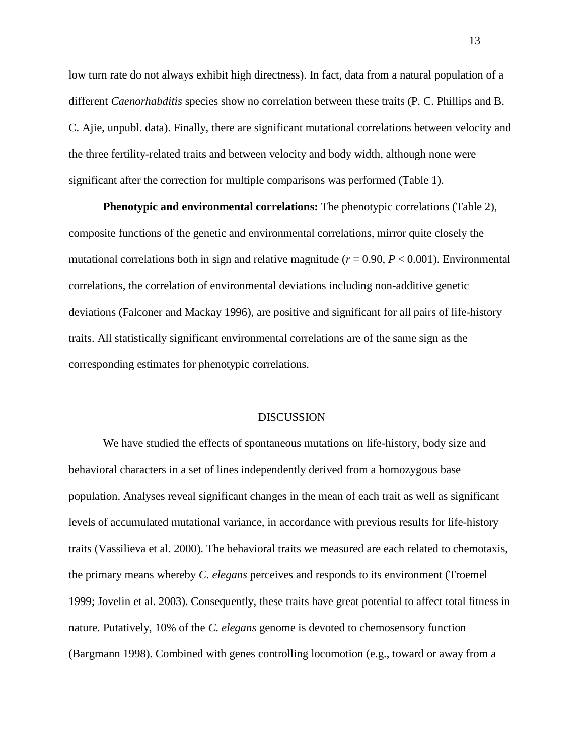low turn rate do not always exhibit high directness). In fact, data from a natural population of a different *Caenorhabditis* species show no correlation between these traits (P. C. Phillips and B. C. Ajie, unpubl. data). Finally, there are significant mutational correlations between velocity and the three fertility-related traits and between velocity and body width, although none were significant after the correction for multiple comparisons was performed (Table 1).

 **Phenotypic and environmental correlations:** The phenotypic correlations (Table 2), composite functions of the genetic and environmental correlations, mirror quite closely the mutational correlations both in sign and relative magnitude  $(r = 0.90, P < 0.001)$ . Environmental correlations, the correlation of environmental deviations including non-additive genetic deviations (Falconer and Mackay 1996), are positive and significant for all pairs of life-history traits. All statistically significant environmental correlations are of the same sign as the corresponding estimates for phenotypic correlations.

### DISCUSSION

We have studied the effects of spontaneous mutations on life-history, body size and behavioral characters in a set of lines independently derived from a homozygous base population. Analyses reveal significant changes in the mean of each trait as well as significant levels of accumulated mutational variance, in accordance with previous results for life-history traits (Vassilieva et al. 2000). The behavioral traits we measured are each related to chemotaxis, the primary means whereby *C. elegans* perceives and responds to its environment (Troemel 1999; Jovelin et al. 2003). Consequently, these traits have great potential to affect total fitness in nature. Putatively, 10% of the *C. elegans* genome is devoted to chemosensory function (Bargmann 1998). Combined with genes controlling locomotion (e.g., toward or away from a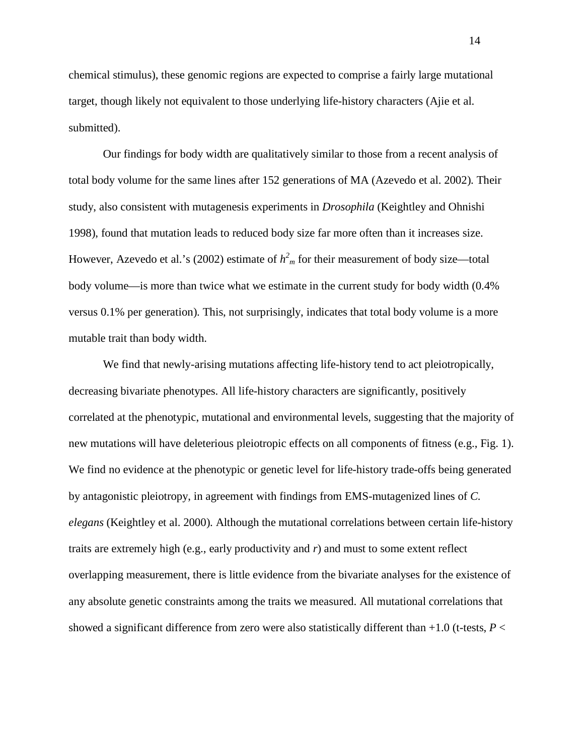chemical stimulus), these genomic regions are expected to comprise a fairly large mutational target, though likely not equivalent to those underlying life-history characters (Ajie et al. submitted).

Our findings for body width are qualitatively similar to those from a recent analysis of total body volume for the same lines after 152 generations of MA (Azevedo et al. 2002). Their study, also consistent with mutagenesis experiments in *Drosophila* (Keightley and Ohnishi 1998), found that mutation leads to reduced body size far more often than it increases size. However, Azevedo et al.'s (2002) estimate of  $h<sup>2</sup><sub>m</sub>$  for their measurement of body size—total body volume—is more than twice what we estimate in the current study for body width (0.4% versus 0.1% per generation). This, not surprisingly, indicates that total body volume is a more mutable trait than body width.

We find that newly-arising mutations affecting life-history tend to act pleiotropically, decreasing bivariate phenotypes. All life-history characters are significantly, positively correlated at the phenotypic, mutational and environmental levels, suggesting that the majority of new mutations will have deleterious pleiotropic effects on all components of fitness (e.g., Fig. 1). We find no evidence at the phenotypic or genetic level for life-history trade-offs being generated by antagonistic pleiotropy, in agreement with findings from EMS-mutagenized lines of *C. elegans* (Keightley et al. 2000). Although the mutational correlations between certain life-history traits are extremely high (e.g., early productivity and *r*) and must to some extent reflect overlapping measurement, there is little evidence from the bivariate analyses for the existence of any absolute genetic constraints among the traits we measured. All mutational correlations that showed a significant difference from zero were also statistically different than +1.0 (t-tests, *P* <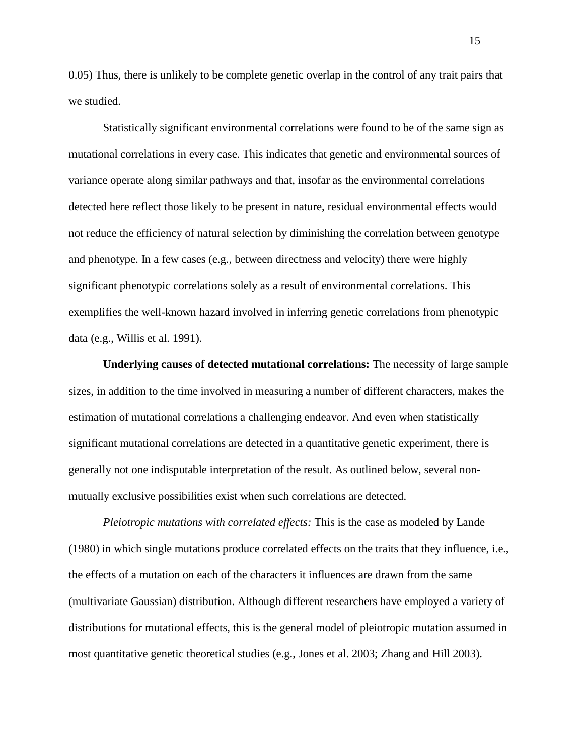0.05) Thus, there is unlikely to be complete genetic overlap in the control of any trait pairs that we studied.

 Statistically significant environmental correlations were found to be of the same sign as mutational correlations in every case. This indicates that genetic and environmental sources of variance operate along similar pathways and that, insofar as the environmental correlations detected here reflect those likely to be present in nature, residual environmental effects would not reduce the efficiency of natural selection by diminishing the correlation between genotype and phenotype. In a few cases (e.g., between directness and velocity) there were highly significant phenotypic correlations solely as a result of environmental correlations. This exemplifies the well-known hazard involved in inferring genetic correlations from phenotypic data (e.g., Willis et al. 1991).

 **Underlying causes of detected mutational correlations:** The necessity of large sample sizes, in addition to the time involved in measuring a number of different characters, makes the estimation of mutational correlations a challenging endeavor. And even when statistically significant mutational correlations are detected in a quantitative genetic experiment, there is generally not one indisputable interpretation of the result. As outlined below, several nonmutually exclusive possibilities exist when such correlations are detected.

*Pleiotropic mutations with correlated effects:* This is the case as modeled by Lande (1980) in which single mutations produce correlated effects on the traits that they influence, i.e., the effects of a mutation on each of the characters it influences are drawn from the same (multivariate Gaussian) distribution. Although different researchers have employed a variety of distributions for mutational effects, this is the general model of pleiotropic mutation assumed in most quantitative genetic theoretical studies (e.g., Jones et al. 2003; Zhang and Hill 2003).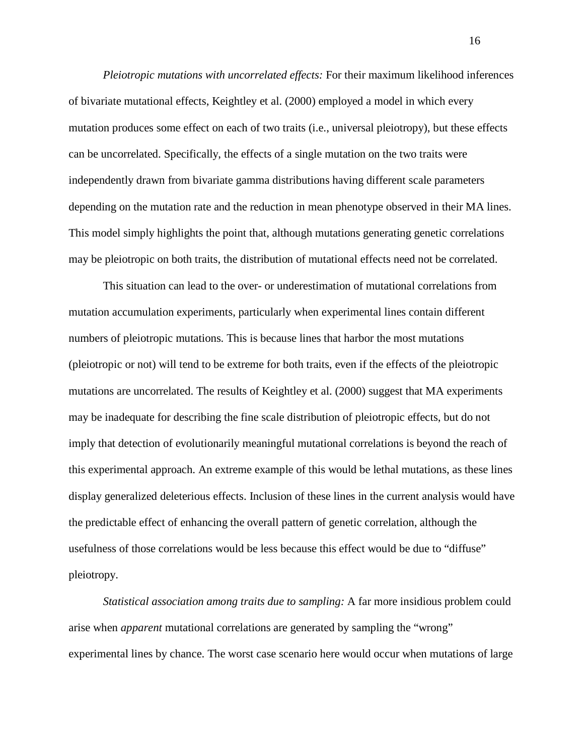*Pleiotropic mutations with uncorrelated effects:* For their maximum likelihood inferences of bivariate mutational effects, Keightley et al. (2000) employed a model in which every mutation produces some effect on each of two traits (i.e., universal pleiotropy), but these effects can be uncorrelated. Specifically, the effects of a single mutation on the two traits were independently drawn from bivariate gamma distributions having different scale parameters depending on the mutation rate and the reduction in mean phenotype observed in their MA lines. This model simply highlights the point that, although mutations generating genetic correlations may be pleiotropic on both traits, the distribution of mutational effects need not be correlated.

This situation can lead to the over- or underestimation of mutational correlations from mutation accumulation experiments, particularly when experimental lines contain different numbers of pleiotropic mutations. This is because lines that harbor the most mutations (pleiotropic or not) will tend to be extreme for both traits, even if the effects of the pleiotropic mutations are uncorrelated. The results of Keightley et al. (2000) suggest that MA experiments may be inadequate for describing the fine scale distribution of pleiotropic effects, but do not imply that detection of evolutionarily meaningful mutational correlations is beyond the reach of this experimental approach. An extreme example of this would be lethal mutations, as these lines display generalized deleterious effects. Inclusion of these lines in the current analysis would have the predictable effect of enhancing the overall pattern of genetic correlation, although the usefulness of those correlations would be less because this effect would be due to "diffuse" pleiotropy.

*Statistical association among traits due to sampling:* A far more insidious problem could arise when *apparent* mutational correlations are generated by sampling the "wrong" experimental lines by chance. The worst case scenario here would occur when mutations of large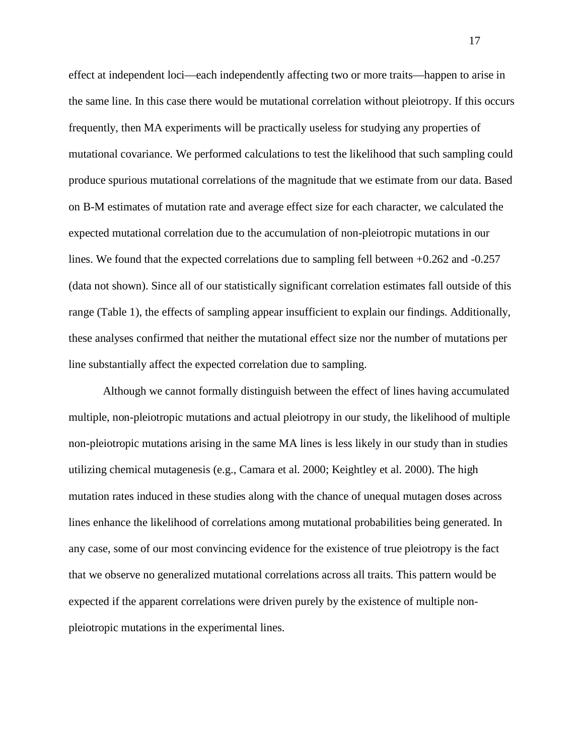effect at independent loci—each independently affecting two or more traits—happen to arise in the same line. In this case there would be mutational correlation without pleiotropy. If this occurs frequently, then MA experiments will be practically useless for studying any properties of mutational covariance. We performed calculations to test the likelihood that such sampling could produce spurious mutational correlations of the magnitude that we estimate from our data. Based on B-M estimates of mutation rate and average effect size for each character, we calculated the expected mutational correlation due to the accumulation of non-pleiotropic mutations in our lines. We found that the expected correlations due to sampling fell between +0.262 and -0.257 (data not shown). Since all of our statistically significant correlation estimates fall outside of this range (Table 1), the effects of sampling appear insufficient to explain our findings. Additionally, these analyses confirmed that neither the mutational effect size nor the number of mutations per line substantially affect the expected correlation due to sampling.

Although we cannot formally distinguish between the effect of lines having accumulated multiple, non-pleiotropic mutations and actual pleiotropy in our study, the likelihood of multiple non-pleiotropic mutations arising in the same MA lines is less likely in our study than in studies utilizing chemical mutagenesis (e.g., Camara et al. 2000; Keightley et al. 2000). The high mutation rates induced in these studies along with the chance of unequal mutagen doses across lines enhance the likelihood of correlations among mutational probabilities being generated. In any case, some of our most convincing evidence for the existence of true pleiotropy is the fact that we observe no generalized mutational correlations across all traits. This pattern would be expected if the apparent correlations were driven purely by the existence of multiple nonpleiotropic mutations in the experimental lines.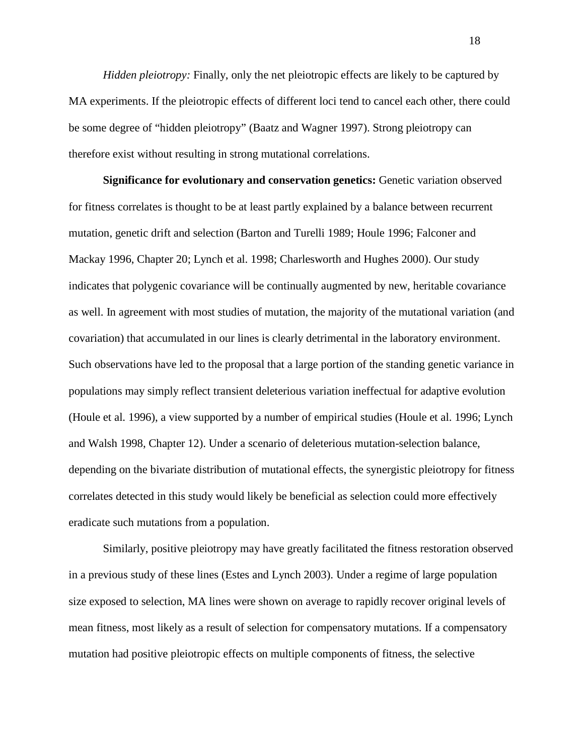*Hidden pleiotropy:* Finally, only the net pleiotropic effects are likely to be captured by MA experiments. If the pleiotropic effects of different loci tend to cancel each other, there could be some degree of "hidden pleiotropy" (Baatz and Wagner 1997). Strong pleiotropy can therefore exist without resulting in strong mutational correlations.

**Significance for evolutionary and conservation genetics:** Genetic variation observed for fitness correlates is thought to be at least partly explained by a balance between recurrent mutation, genetic drift and selection (Barton and Turelli 1989; Houle 1996; Falconer and Mackay 1996, Chapter 20; Lynch et al. 1998; Charlesworth and Hughes 2000). Our study indicates that polygenic covariance will be continually augmented by new, heritable covariance as well. In agreement with most studies of mutation, the majority of the mutational variation (and covariation) that accumulated in our lines is clearly detrimental in the laboratory environment. Such observations have led to the proposal that a large portion of the standing genetic variance in populations may simply reflect transient deleterious variation ineffectual for adaptive evolution (Houle et al. 1996), a view supported by a number of empirical studies (Houle et al. 1996; Lynch and Walsh 1998, Chapter 12). Under a scenario of deleterious mutation-selection balance, depending on the bivariate distribution of mutational effects, the synergistic pleiotropy for fitness correlates detected in this study would likely be beneficial as selection could more effectively eradicate such mutations from a population.

Similarly, positive pleiotropy may have greatly facilitated the fitness restoration observed in a previous study of these lines (Estes and Lynch 2003). Under a regime of large population size exposed to selection, MA lines were shown on average to rapidly recover original levels of mean fitness, most likely as a result of selection for compensatory mutations. If a compensatory mutation had positive pleiotropic effects on multiple components of fitness, the selective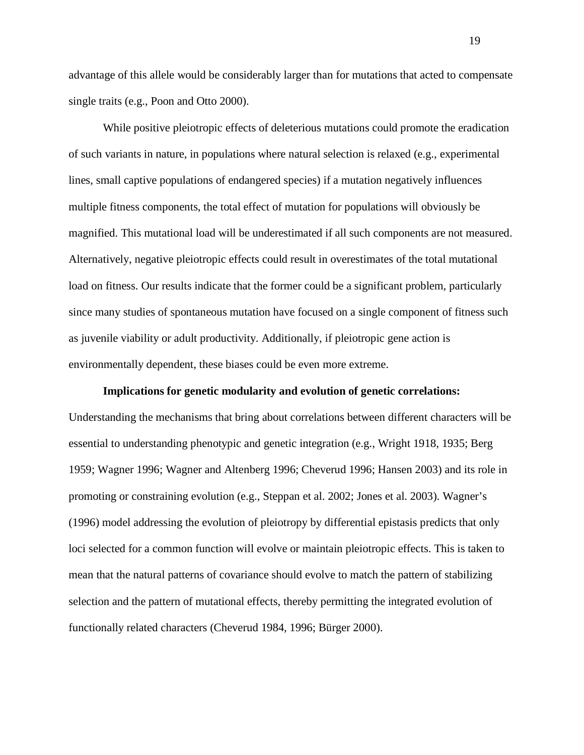advantage of this allele would be considerably larger than for mutations that acted to compensate single traits (e.g., Poon and Otto 2000).

While positive pleiotropic effects of deleterious mutations could promote the eradication of such variants in nature, in populations where natural selection is relaxed (e.g., experimental lines, small captive populations of endangered species) if a mutation negatively influences multiple fitness components, the total effect of mutation for populations will obviously be magnified. This mutational load will be underestimated if all such components are not measured. Alternatively, negative pleiotropic effects could result in overestimates of the total mutational load on fitness. Our results indicate that the former could be a significant problem, particularly since many studies of spontaneous mutation have focused on a single component of fitness such as juvenile viability or adult productivity. Additionally, if pleiotropic gene action is environmentally dependent, these biases could be even more extreme.

## **Implications for genetic modularity and evolution of genetic correlations:**

Understanding the mechanisms that bring about correlations between different characters will be essential to understanding phenotypic and genetic integration (e.g., Wright 1918, 1935; Berg 1959; Wagner 1996; Wagner and Altenberg 1996; Cheverud 1996; Hansen 2003) and its role in promoting or constraining evolution (e.g., Steppan et al. 2002; Jones et al. 2003). Wagner's (1996) model addressing the evolution of pleiotropy by differential epistasis predicts that only loci selected for a common function will evolve or maintain pleiotropic effects. This is taken to mean that the natural patterns of covariance should evolve to match the pattern of stabilizing selection and the pattern of mutational effects, thereby permitting the integrated evolution of functionally related characters (Cheverud 1984, 1996; Bürger 2000).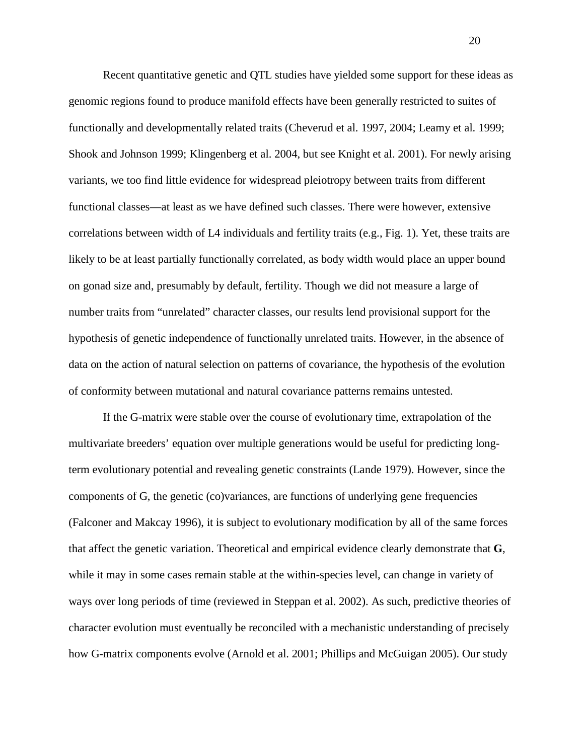Recent quantitative genetic and QTL studies have yielded some support for these ideas as genomic regions found to produce manifold effects have been generally restricted to suites of functionally and developmentally related traits (Cheverud et al. 1997, 2004; Leamy et al. 1999; Shook and Johnson 1999; Klingenberg et al. 2004, but see Knight et al. 2001). For newly arising variants, we too find little evidence for widespread pleiotropy between traits from different functional classes—at least as we have defined such classes. There were however, extensive correlations between width of L4 individuals and fertility traits (e.g., Fig. 1). Yet, these traits are likely to be at least partially functionally correlated, as body width would place an upper bound on gonad size and, presumably by default, fertility. Though we did not measure a large of number traits from "unrelated" character classes, our results lend provisional support for the hypothesis of genetic independence of functionally unrelated traits. However, in the absence of data on the action of natural selection on patterns of covariance, the hypothesis of the evolution of conformity between mutational and natural covariance patterns remains untested.

If the G-matrix were stable over the course of evolutionary time, extrapolation of the multivariate breeders' equation over multiple generations would be useful for predicting longterm evolutionary potential and revealing genetic constraints (Lande 1979). However, since the components of G, the genetic (co)variances, are functions of underlying gene frequencies (Falconer and Makcay 1996), it is subject to evolutionary modification by all of the same forces that affect the genetic variation. Theoretical and empirical evidence clearly demonstrate that **G**, while it may in some cases remain stable at the within-species level, can change in variety of ways over long periods of time (reviewed in Steppan et al. 2002). As such, predictive theories of character evolution must eventually be reconciled with a mechanistic understanding of precisely how G-matrix components evolve (Arnold et al. 2001; Phillips and McGuigan 2005). Our study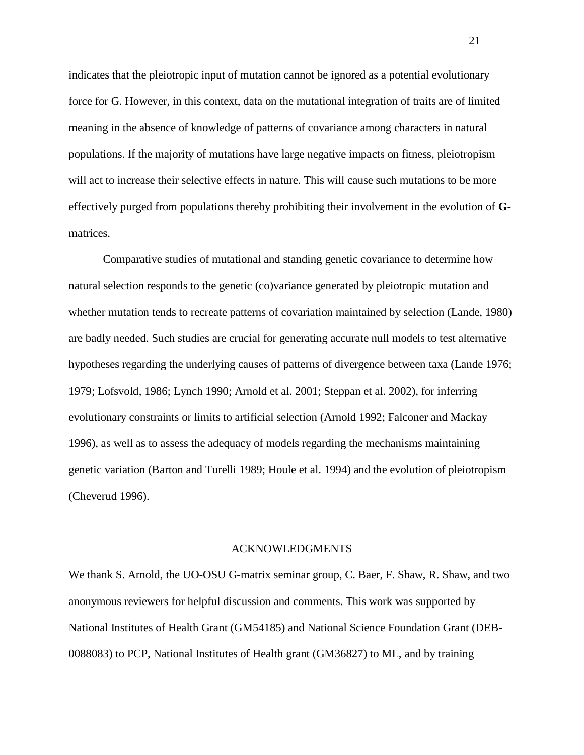indicates that the pleiotropic input of mutation cannot be ignored as a potential evolutionary force for G. However, in this context, data on the mutational integration of traits are of limited meaning in the absence of knowledge of patterns of covariance among characters in natural populations. If the majority of mutations have large negative impacts on fitness, pleiotropism will act to increase their selective effects in nature. This will cause such mutations to be more effectively purged from populations thereby prohibiting their involvement in the evolution of **G**matrices.

Comparative studies of mutational and standing genetic covariance to determine how natural selection responds to the genetic (co)variance generated by pleiotropic mutation and whether mutation tends to recreate patterns of covariation maintained by selection (Lande, 1980) are badly needed. Such studies are crucial for generating accurate null models to test alternative hypotheses regarding the underlying causes of patterns of divergence between taxa (Lande 1976; 1979; Lofsvold, 1986; Lynch 1990; Arnold et al. 2001; Steppan et al. 2002), for inferring evolutionary constraints or limits to artificial selection (Arnold 1992; Falconer and Mackay 1996), as well as to assess the adequacy of models regarding the mechanisms maintaining genetic variation (Barton and Turelli 1989; Houle et al. 1994) and the evolution of pleiotropism (Cheverud 1996).

#### ACKNOWLEDGMENTS

We thank S. Arnold, the UO-OSU G-matrix seminar group, C. Baer, F. Shaw, R. Shaw, and two anonymous reviewers for helpful discussion and comments. This work was supported by National Institutes of Health Grant (GM54185) and National Science Foundation Grant (DEB-0088083) to PCP, National Institutes of Health grant (GM36827) to ML, and by training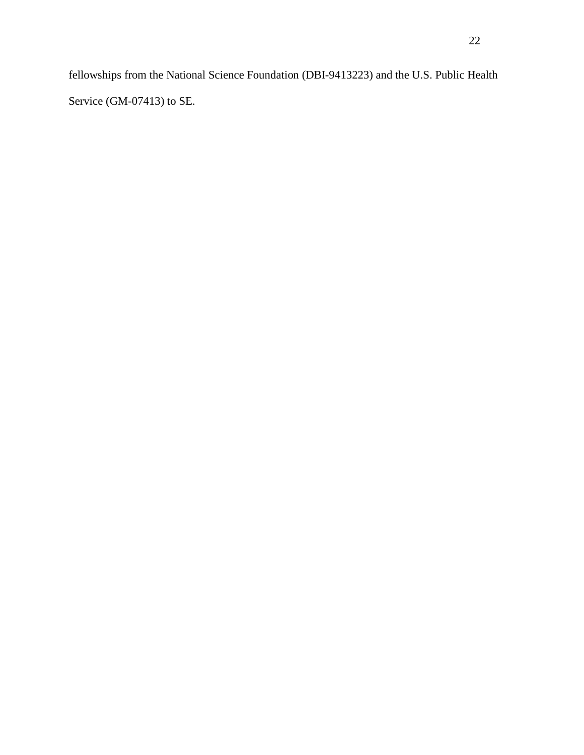fellowships from the National Science Foundation (DBI-9413223) and the U.S. Public Health Service (GM-07413) to SE.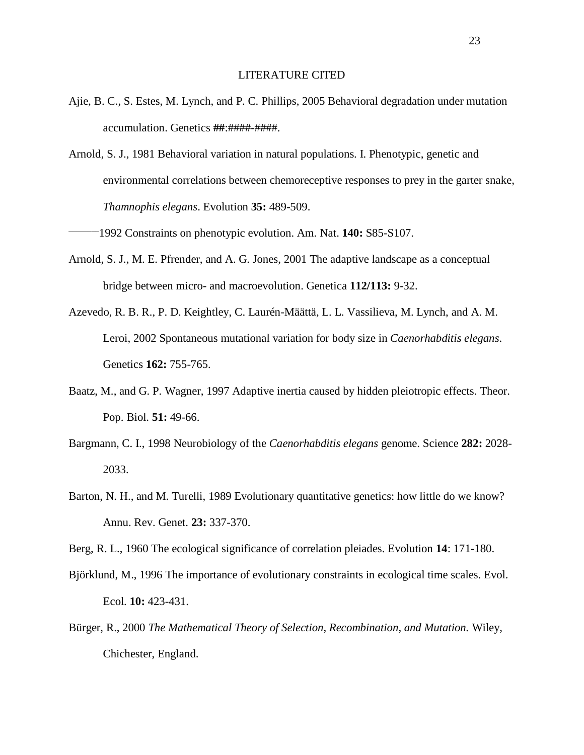#### LITERATURE CITED

- Ajie, B. C., S. Estes, M. Lynch, and P. C. Phillips, 2005 Behavioral degradation under mutation accumulation. Genetics **##**:####-####.
- Arnold, S. J., 1981 Behavioral variation in natural populations. I. Phenotypic, genetic and environmental correlations between chemoreceptive responses to prey in the garter snake, *Thamnophis elegans*. Evolution **35:** 489-509.

\_\_\_\_\_\_\_\_1992 Constraints on phenotypic evolution. Am. Nat. **140:** S85-S107.

- Arnold, S. J., M. E. Pfrender, and A. G. Jones, 2001 The adaptive landscape as a conceptual bridge between micro- and macroevolution. Genetica **112/113:** 9-32.
- Azevedo, R. B. R., P. D. Keightley, C. Laurén-Määttä, L. L. Vassilieva, M. Lynch, and A. M. Leroi, 2002 Spontaneous mutational variation for body size in *Caenorhabditis elegans*. Genetics **162:** 755-765.
- Baatz, M., and G. P. Wagner, 1997 Adaptive inertia caused by hidden pleiotropic effects. Theor. Pop. Biol. **51:** 49-66.
- Bargmann, C. I., 1998 Neurobiology of the *Caenorhabditis elegans* genome. Science **282:** 2028- 2033.
- Barton, N. H., and M. Turelli, 1989 Evolutionary quantitative genetics: how little do we know? Annu. Rev. Genet. **23:** 337-370.

Berg, R. L., 1960 The ecological significance of correlation pleiades. Evolution **14**: 171-180.

- Björklund, M., 1996 The importance of evolutionary constraints in ecological time scales. Evol. Ecol. **10:** 423-431.
- Bürger, R., 2000 *The Mathematical Theory of Selection, Recombination, and Mutation.* Wiley, Chichester, England.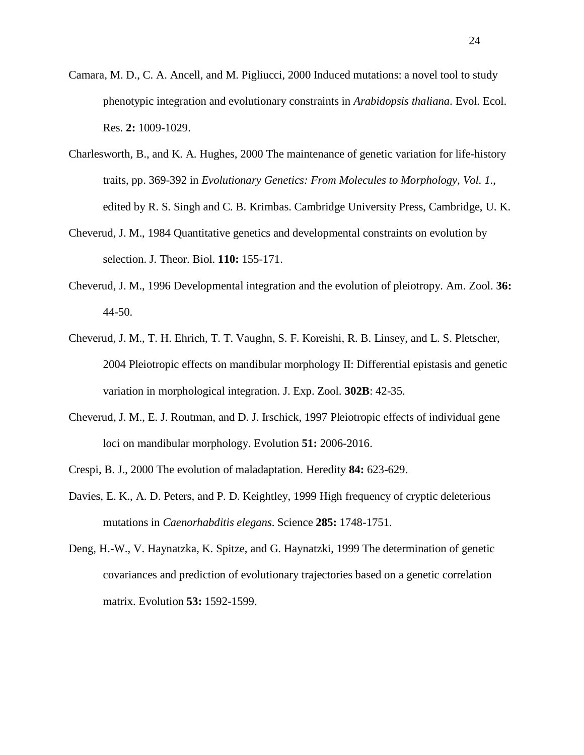- Camara, M. D., C. A. Ancell, and M. Pigliucci, 2000 Induced mutations: a novel tool to study phenotypic integration and evolutionary constraints in *Arabidopsis thaliana*. Evol. Ecol. Res. **2:** 1009-1029.
- Charlesworth, B., and K. A. Hughes, 2000 The maintenance of genetic variation for life-history traits, pp. 369-392 in *Evolutionary Genetics: From Molecules to Morphology, Vol. 1.*, edited by R. S. Singh and C. B. Krimbas. Cambridge University Press, Cambridge, U. K.
- Cheverud, J. M., 1984 Quantitative genetics and developmental constraints on evolution by selection. J. Theor. Biol. **110:** 155-171.
- Cheverud, J. M., 1996 Developmental integration and the evolution of pleiotropy. Am. Zool. **36:** 44-50.
- Cheverud, J. M., T. H. Ehrich, T. T. Vaughn, S. F. Koreishi, R. B. Linsey, and L. S. Pletscher, 2004 Pleiotropic effects on mandibular morphology II: Differential epistasis and genetic variation in morphological integration. J. Exp. Zool. **302B**: 42-35.
- Cheverud, J. M., E. J. Routman, and D. J. Irschick, 1997 Pleiotropic effects of individual gene loci on mandibular morphology. Evolution **51:** 2006-2016.
- Crespi, B. J., 2000 The evolution of maladaptation. Heredity **84:** 623-629.
- Davies, E. K., A. D. Peters, and P. D. Keightley, 1999 High frequency of cryptic deleterious mutations in *Caenorhabditis elegans*. Science **285:** 1748-1751.
- Deng, H.-W., V. Haynatzka, K. Spitze, and G. Haynatzki, 1999 The determination of genetic covariances and prediction of evolutionary trajectories based on a genetic correlation matrix. Evolution **53:** 1592-1599.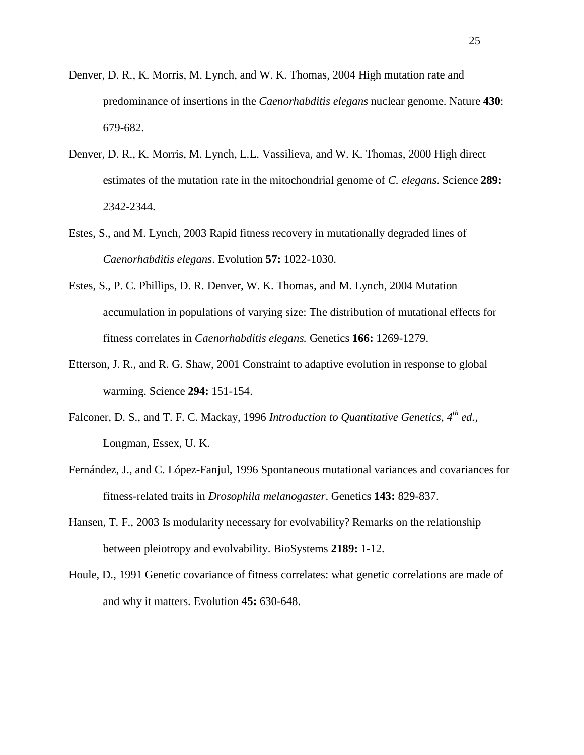- Denver, D. R., K. Morris, M. Lynch, and W. K. Thomas, 2004 High mutation rate and predominance of insertions in the *Caenorhabditis elegans* nuclear genome. Nature **430**: 679-682.
- Denver, D. R., K. Morris, M. Lynch, L.L. Vassilieva, and W. K. Thomas, 2000 High direct estimates of the mutation rate in the mitochondrial genome of *C. elegans*. Science **289:** 2342-2344.
- Estes, S., and M. Lynch, 2003 Rapid fitness recovery in mutationally degraded lines of *Caenorhabditis elegans*. Evolution **57:** 1022-1030.
- Estes, S., P. C. Phillips, D. R. Denver, W. K. Thomas, and M. Lynch, 2004 Mutation accumulation in populations of varying size: The distribution of mutational effects for fitness correlates in *Caenorhabditis elegans.* Genetics **166:** 1269-1279.
- Etterson, J. R., and R. G. Shaw, 2001 Constraint to adaptive evolution in response to global warming. Science **294:** 151-154.
- Falconer, D. S., and T. F. C. Mackay, 1996 *Introduction to Quantitative Genetics, 4th ed.*, Longman, Essex, U. K.
- Fernández, J., and C. López-Fanjul, 1996 Spontaneous mutational variances and covariances for fitness-related traits in *Drosophila melanogaster*. Genetics **143:** 829-837.
- Hansen, T. F., 2003 Is modularity necessary for evolvability? Remarks on the relationship between pleiotropy and evolvability. BioSystems **2189:** 1-12.
- Houle, D., 1991 Genetic covariance of fitness correlates: what genetic correlations are made of and why it matters. Evolution **45:** 630-648.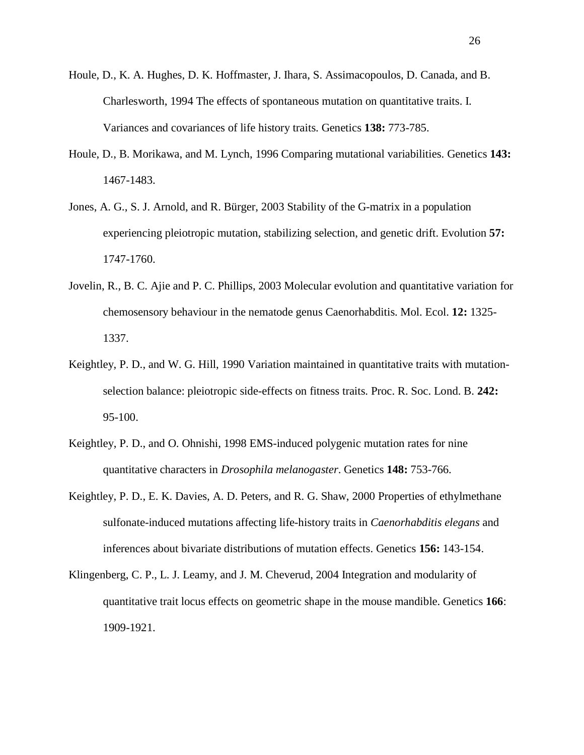- Houle, D., K. A. Hughes, D. K. Hoffmaster, J. Ihara, S. Assimacopoulos, D. Canada, and B. Charlesworth, 1994 The effects of spontaneous mutation on quantitative traits. I. Variances and covariances of life history traits. Genetics **138:** 773-785.
- Houle, D., B. Morikawa, and M. Lynch, 1996 Comparing mutational variabilities. Genetics **143:** 1467-1483.
- Jones, A. G., S. J. Arnold, and R. Bürger, 2003 Stability of the G-matrix in a population experiencing pleiotropic mutation, stabilizing selection, and genetic drift. Evolution **57:** 1747-1760.
- Jovelin, R., B. C. Ajie and P. C. Phillips, 2003 Molecular evolution and quantitative variation for chemosensory behaviour in the nematode genus Caenorhabditis. Mol. Ecol. **12:** 1325- 1337.
- Keightley, P. D., and W. G. Hill, 1990 Variation maintained in quantitative traits with mutationselection balance: pleiotropic side-effects on fitness traits. Proc. R. Soc. Lond. B. **242:** 95-100.
- Keightley, P. D., and O. Ohnishi, 1998 EMS-induced polygenic mutation rates for nine quantitative characters in *Drosophila melanogaster*. Genetics **148:** 753-766.
- Keightley, P. D., E. K. Davies, A. D. Peters, and R. G. Shaw, 2000 Properties of ethylmethane sulfonate-induced mutations affecting life-history traits in *Caenorhabditis elegans* and inferences about bivariate distributions of mutation effects. Genetics **156:** 143-154.
- Klingenberg, C. P., L. J. Leamy, and J. M. Cheverud, 2004 Integration and modularity of quantitative trait locus effects on geometric shape in the mouse mandible. Genetics **166**: 1909-1921.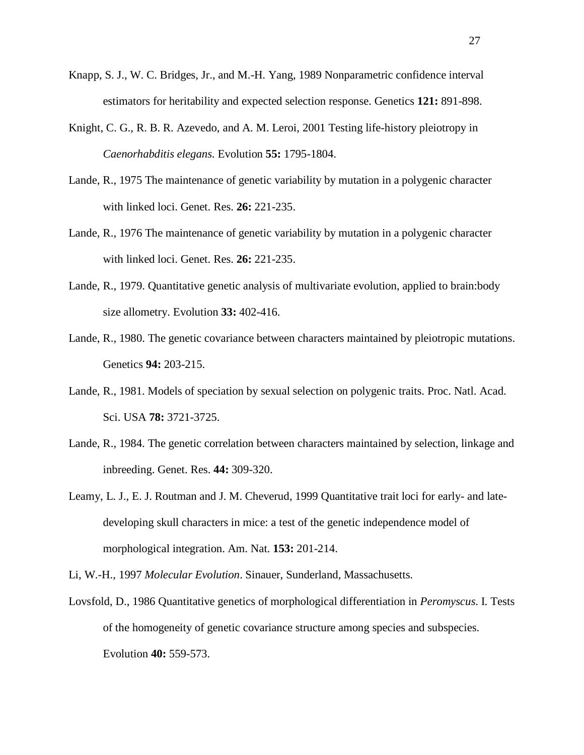- Knapp, S. J., W. C. Bridges, Jr., and M.-H. Yang, 1989 Nonparametric confidence interval estimators for heritability and expected selection response. Genetics **121:** 891-898.
- Knight, C. G., R. B. R. Azevedo, and A. M. Leroi, 2001 Testing life-history pleiotropy in *Caenorhabditis elegans.* Evolution **55:** 1795-1804.
- Lande, R., 1975 The maintenance of genetic variability by mutation in a polygenic character with linked loci. Genet. Res. **26:** 221-235.
- Lande, R., 1976 The maintenance of genetic variability by mutation in a polygenic character with linked loci. Genet. Res. **26:** 221-235.
- Lande, R., 1979. Quantitative genetic analysis of multivariate evolution, applied to brain:body size allometry. Evolution **33:** 402-416.
- Lande, R., 1980. The genetic covariance between characters maintained by pleiotropic mutations. Genetics **94:** 203-215.
- Lande, R., 1981. Models of speciation by sexual selection on polygenic traits. Proc. Natl. Acad. Sci. USA **78:** 3721-3725.
- Lande, R., 1984. The genetic correlation between characters maintained by selection, linkage and inbreeding. Genet. Res. **44:** 309-320.
- Leamy, L. J., E. J. Routman and J. M. Cheverud, 1999 Quantitative trait loci for early- and latedeveloping skull characters in mice: a test of the genetic independence model of morphological integration. Am. Nat. **153:** 201-214.
- Li, W.-H., 1997 *Molecular Evolution*. Sinauer, Sunderland, Massachusetts.
- Lovsfold, D., 1986 Quantitative genetics of morphological differentiation in *Peromyscus*. I. Tests of the homogeneity of genetic covariance structure among species and subspecies. Evolution **40:** 559-573.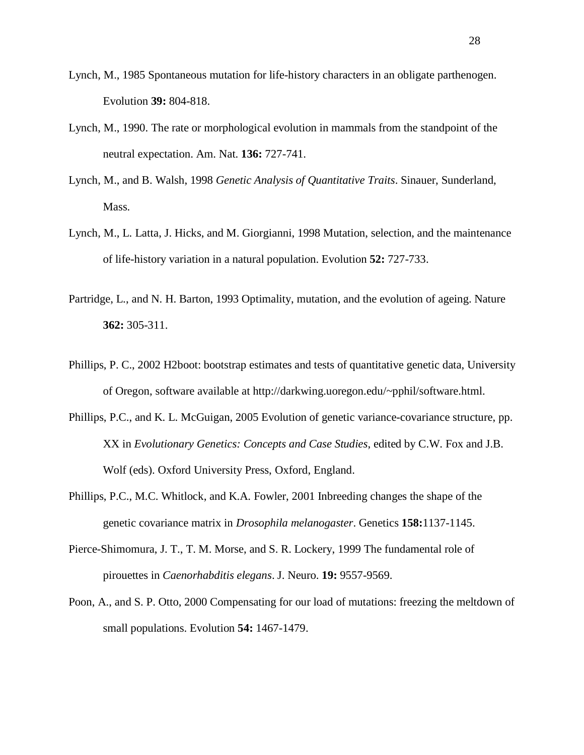- Lynch, M., 1985 Spontaneous mutation for life-history characters in an obligate parthenogen. Evolution **39:** 804-818.
- Lynch, M., 1990. The rate or morphological evolution in mammals from the standpoint of the neutral expectation. Am. Nat. **136:** 727-741.
- Lynch, M., and B. Walsh, 1998 *Genetic Analysis of Quantitative Traits*. Sinauer, Sunderland, Mass.
- Lynch, M., L. Latta, J. Hicks, and M. Giorgianni, 1998 Mutation, selection, and the maintenance of life-history variation in a natural population. Evolution **52:** 727-733.
- Partridge, L., and N. H. Barton, 1993 Optimality, mutation, and the evolution of ageing. Nature **362:** 305-311.
- Phillips, P. C., 2002 H2boot: bootstrap estimates and tests of quantitative genetic data, University of Oregon, software available at http://darkwing.uoregon.edu/~pphil/software.html.
- Phillips, P.C., and K. L. McGuigan, 2005 Evolution of genetic variance-covariance structure, pp. XX in *Evolutionary Genetics: Concepts and Case Studies*, edited by C.W. Fox and J.B. Wolf (eds). Oxford University Press, Oxford, England.
- Phillips, P.C., M.C. Whitlock, and K.A. Fowler, 2001 Inbreeding changes the shape of the genetic covariance matrix in *Drosophila melanogaster*. Genetics **158:**1137-1145.
- Pierce-Shimomura, J. T., T. M. Morse, and S. R. Lockery, 1999 The fundamental role of pirouettes in *Caenorhabditis elegans*. J. Neuro. **19:** 9557-9569.
- Poon, A., and S. P. Otto, 2000 Compensating for our load of mutations: freezing the meltdown of small populations. Evolution **54:** 1467-1479.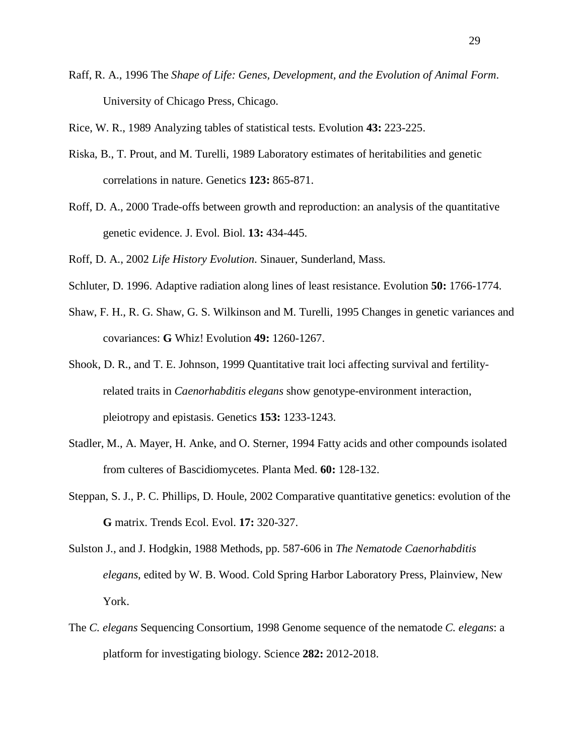Raff, R. A., 1996 The *Shape of Life: Genes, Development, and the Evolution of Animal Form*. University of Chicago Press, Chicago.

Rice, W. R., 1989 Analyzing tables of statistical tests. Evolution **43:** 223-225.

- Riska, B., T. Prout, and M. Turelli, 1989 Laboratory estimates of heritabilities and genetic correlations in nature. Genetics **123:** 865-871.
- Roff, D. A., 2000 Trade-offs between growth and reproduction: an analysis of the quantitative genetic evidence. J. Evol. Biol. **13:** 434-445.

Roff, D. A., 2002 *Life History Evolution*. Sinauer, Sunderland, Mass.

- Schluter, D. 1996. Adaptive radiation along lines of least resistance. Evolution **50:** 1766-1774.
- Shaw, F. H., R. G. Shaw, G. S. Wilkinson and M. Turelli, 1995 Changes in genetic variances and covariances: **G** Whiz! Evolution **49:** 1260-1267.
- Shook, D. R., and T. E. Johnson, 1999 Quantitative trait loci affecting survival and fertilityrelated traits in *Caenorhabditis elegans* show genotype-environment interaction, pleiotropy and epistasis. Genetics **153:** 1233-1243.
- Stadler, M., A. Mayer, H. Anke, and O. Sterner, 1994 Fatty acids and other compounds isolated from culteres of Bascidiomycetes. Planta Med. **60:** 128-132.
- Steppan, S. J., P. C. Phillips, D. Houle, 2002 Comparative quantitative genetics: evolution of the **G** matrix. Trends Ecol. Evol. **17:** 320-327.
- Sulston J., and J. Hodgkin, 1988 Methods, pp. 587-606 in *The Nematode Caenorhabditis elegans*, edited by W. B. Wood. Cold Spring Harbor Laboratory Press, Plainview, New York.
- The *C. elegans* Sequencing Consortium, 1998 Genome sequence of the nematode *C. elegans*: a platform for investigating biology. Science **282:** 2012-2018.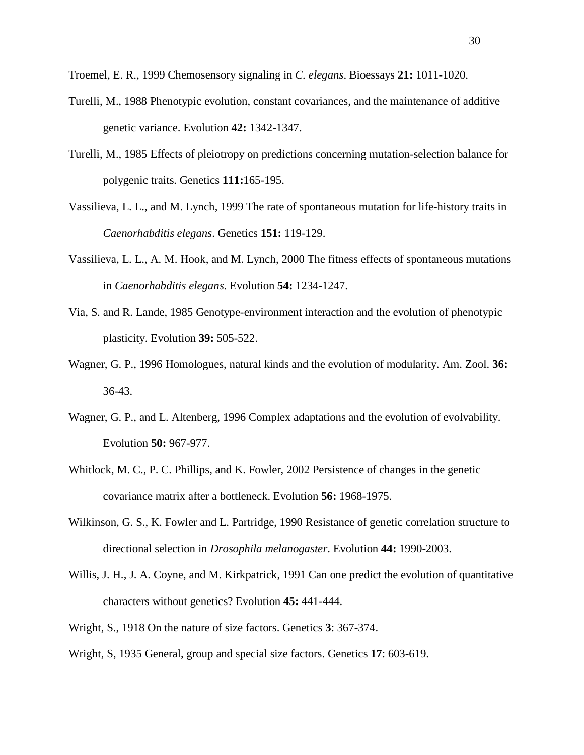Troemel, E. R., 1999 Chemosensory signaling in *C. elegans*. Bioessays **21:** 1011-1020.

- Turelli, M., 1988 Phenotypic evolution, constant covariances, and the maintenance of additive genetic variance. Evolution **42:** 1342-1347.
- Turelli, M., 1985 Effects of pleiotropy on predictions concerning mutation-selection balance for polygenic traits. Genetics **111:**165-195.
- Vassilieva, L. L., and M. Lynch, 1999 The rate of spontaneous mutation for life-history traits in *Caenorhabditis elegans*. Genetics **151:** 119-129.
- Vassilieva, L. L., A. M. Hook, and M. Lynch, 2000 The fitness effects of spontaneous mutations in *Caenorhabditis elegans*. Evolution **54:** 1234-1247.
- Via, S. and R. Lande, 1985 Genotype-environment interaction and the evolution of phenotypic plasticity. Evolution **39:** 505-522.
- Wagner, G. P., 1996 Homologues, natural kinds and the evolution of modularity. Am. Zool. **36:** 36-43.
- Wagner, G. P., and L. Altenberg, 1996 Complex adaptations and the evolution of evolvability. Evolution **50:** 967-977.
- Whitlock, M. C., P. C. Phillips, and K. Fowler, 2002 Persistence of changes in the genetic covariance matrix after a bottleneck. Evolution **56:** 1968-1975.
- Wilkinson, G. S., K. Fowler and L. Partridge, 1990 Resistance of genetic correlation structure to directional selection in *Drosophila melanogaster*. Evolution **44:** 1990-2003.
- Willis, J. H., J. A. Coyne, and M. Kirkpatrick, 1991 Can one predict the evolution of quantitative characters without genetics? Evolution **45:** 441-444.
- Wright, S., 1918 On the nature of size factors. Genetics **3**: 367-374.
- Wright, S, 1935 General, group and special size factors. Genetics **17**: 603-619.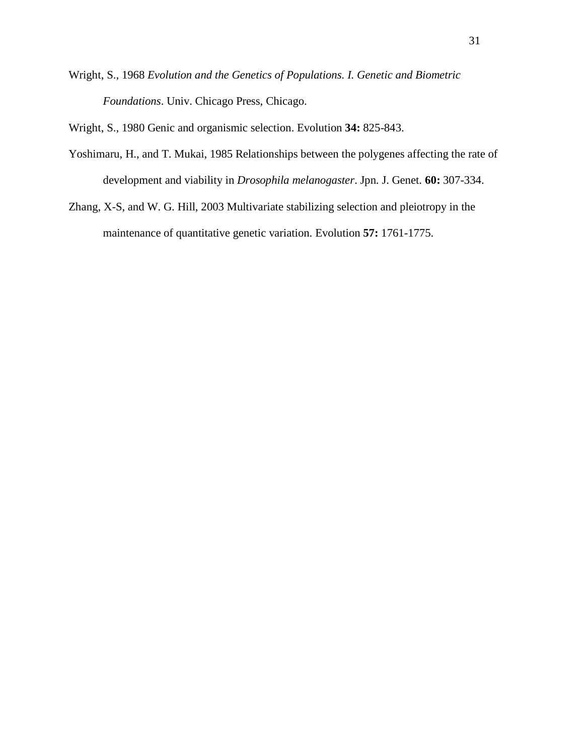Wright, S., 1968 *Evolution and the Genetics of Populations. I. Genetic and Biometric Foundations*. Univ. Chicago Press, Chicago.

Wright, S., 1980 Genic and organismic selection. Evolution **34:** 825-843.

- Yoshimaru, H., and T. Mukai, 1985 Relationships between the polygenes affecting the rate of development and viability in *Drosophila melanogaster*. Jpn. J. Genet. **60:** 307-334.
- Zhang, X-S, and W. G. Hill, 2003 Multivariate stabilizing selection and pleiotropy in the maintenance of quantitative genetic variation. Evolution **57:** 1761-1775.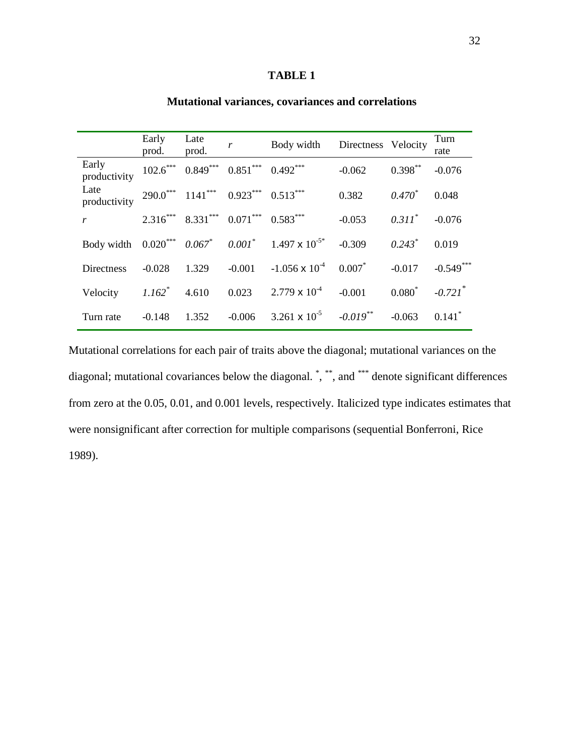# **TABLE 1**

|                       | Early<br>prod. | Late<br>prod.                                   | $\mathbf{r}$ | Body width Directness Velocity                                                  |             |             | Turn<br>rate          |
|-----------------------|----------------|-------------------------------------------------|--------------|---------------------------------------------------------------------------------|-------------|-------------|-----------------------|
| Early<br>productivity |                | $102.6$ *** $0.849$ *** $0.851$ *** $0.492$ *** |              |                                                                                 | $-0.062$    | $0.398***$  | $-0.076$              |
| Late<br>productivity  |                | $290.0***$ 1141*** $0.923***$ $0.513***$        |              |                                                                                 | 0.382       | $0.470*$    | 0.048                 |
| r                     |                | $2.316***$ $8.331***$ $0.071***$ $0.583***$     |              |                                                                                 | $-0.053$    | $0.311^*$   | $-0.076$              |
|                       |                |                                                 |              | Body width $0.020^{***}$ $0.067^{*}$ $0.001^{*}$ $1.497 \times 10^{-5*}$ -0.309 |             | $0.243*$    | 0.019                 |
| <b>Directness</b>     | $-0.028$       | $1.329 - 0.001$                                 |              | $-1.056 \times 10^{-4}$                                                         | 0.007       | $-0.017$    | $-0.549***$           |
| Velocity              | $1.162^*$      | 4.610                                           | 0.023        | $2.779 \times 10^{-4}$                                                          | $-0.001$    | $0.080^{*}$ | $-0.721$ <sup>*</sup> |
| Turn rate             | $-0.148$       | 1.352                                           | $-0.006$     | 3.261 $\times$ 10 <sup>-5</sup>                                                 | $-0.019$ ** | $-0.063$    | $0.141$ <sup>*</sup>  |

# **Mutational variances, covariances and correlations**

Mutational correlations for each pair of traits above the diagonal; mutational variances on the diagonal; mutational covariances below the diagonal. \*, \*\*, and \*\*\* denote significant differences from zero at the 0.05, 0.01, and 0.001 levels, respectively. Italicized type indicates estimates that were nonsignificant after correction for multiple comparisons (sequential Bonferroni, Rice 1989).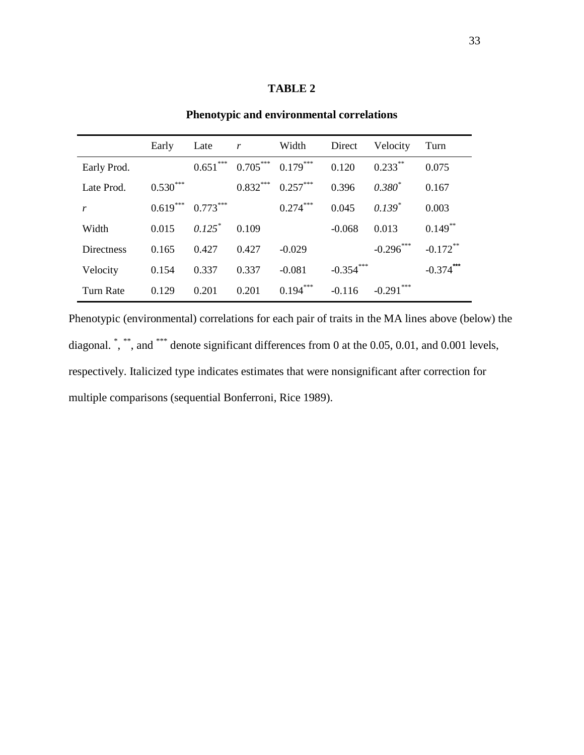## **TABLE 2**

|                   | Early      | Late       | r          | Width      | Direct      | Velocity        | Turn                   |
|-------------------|------------|------------|------------|------------|-------------|-----------------|------------------------|
| Early Prod.       |            | $0.651***$ | $0.705***$ | $0.179***$ | 0.120       | $0.233***$      | 0.075                  |
| Late Prod.        | $0.530***$ |            | $0.832***$ | $0.257***$ | 0.396       | $0.380^{*}$     | 0.167                  |
| r                 | $0.619***$ | $0.773***$ |            | $0.274***$ | 0.045       | $0.139^{*}$     | 0.003                  |
| Width             | 0.015      | $0.125^*$  | 0.109      |            | $-0.068$    | 0.013           | $0.149***$             |
| <b>Directness</b> | 0.165      | 0.427      | 0.427      | $-0.029$   |             | $-0.296$ ***    | $-0.172$ <sup>**</sup> |
| Velocity          | 0.154      | 0.337      | 0.337      | $-0.081$   | $-0.354***$ |                 | $-0.374$ ***           |
| Turn Rate         | 0.129      | 0.201      | 0.201      | $0.194***$ | $-0.116$    | ***<br>$-0.291$ |                        |

**Phenotypic and environmental correlations** 

Phenotypic (environmental) correlations for each pair of traits in the MA lines above (below) the diagonal. ", "", and "\*" denote significant differences from 0 at the 0.05, 0.01, and 0.001 levels, respectively. Italicized type indicates estimates that were nonsignificant after correction for multiple comparisons (sequential Bonferroni, Rice 1989).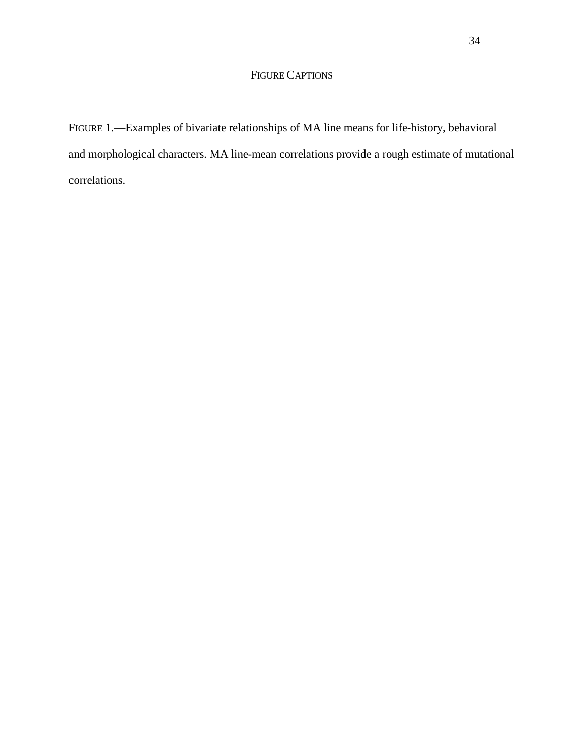# FIGURE CAPTIONS

FIGURE 1.—Examples of bivariate relationships of MA line means for life-history, behavioral and morphological characters. MA line-mean correlations provide a rough estimate of mutational correlations.